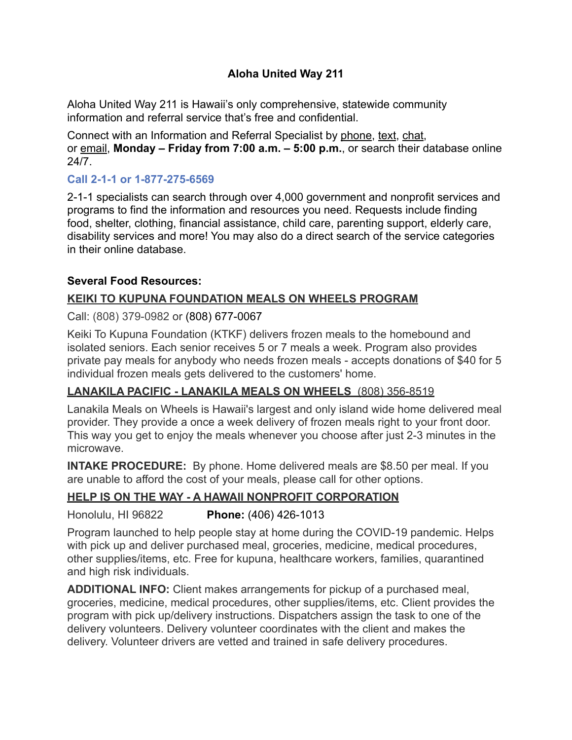# **Aloha United Way 211**

Aloha United Way 211 is Hawaii's only comprehensive, statewide community information and referral service that's free and confidential.

Connect with an Information and Referral Specialist by phone, [text](sms:8772756569), [chat,](https://home-c19.incontact.com/inContact/ChatClient/ChatClient.aspx?poc=75782264-8644-4c11-ab70-28eb11c497e9&bu=4595725%22%20%5Ct%20%22new) or [email,](mailto:info211@auw.org) **Monday – Friday from 7:00 a.m. – 5:00 p.m.**, or search their database online 24/7.

## **Call 2-1-1 or 1-877-275-6569**

2-1-1 specialists can search through over 4,000 government and nonprofit services and programs to find the information and resources you need. Requests include finding food, shelter, clothing, financial assistance, child care, parenting support, elderly care, disability services and more! You may also do a direct search of the service categories in their [online database](https://www.auw211.org/Search.aspx).

## **Several Food Resources:**

## **KEIKI TO KUPUNA FOUNDATION MEALS ON WHEELS PROGRAM**

#### Call: (808) 379-0982 or (808) 677-0067

Keiki To Kupuna Foundation (KTKF) delivers frozen meals to the homebound and isolated seniors. Each senior receives 5 or 7 meals a week. Program also provides private pay meals for anybody who needs frozen meals - accepts donations of \$40 for 5 individual frozen meals gets delivered to the customers' home.

## **LANAKILA PACIFIC - LANAKILA MEALS ON WHEELS** (808) 356-8519

Lanakila Meals on Wheels is Hawaii's largest and only island wide home delivered meal provider. They provide a once a week delivery of frozen meals right to your front door. This way you get to enjoy the meals whenever you choose after just 2-3 minutes in the microwave.

**INTAKE PROCEDURE:** By phone. Home delivered meals are \$8.50 per meal. If you are unable to afford the cost of your meals, please call for other options.

# **HELP IS ON THE WAY - A HAWAII NONPROFIT CORPORATION**

## Honolulu, HI 96822 **Phone:** (406) 426-1013

Program launched to help people stay at home during the COVID-19 pandemic. Helps with pick up and deliver purchased meal, groceries, medicine, medical procedures, other supplies/items, etc. Free for kupuna, healthcare workers, families, quarantined and high risk individuals.

**ADDITIONAL INFO:** Client makes arrangements for pickup of a purchased meal, groceries, medicine, medical procedures, other supplies/items, etc. Client provides the program with pick up/delivery instructions. Dispatchers assign the task to one of the delivery volunteers. Delivery volunteer coordinates with the client and makes the delivery. Volunteer drivers are vetted and trained in safe delivery procedures.